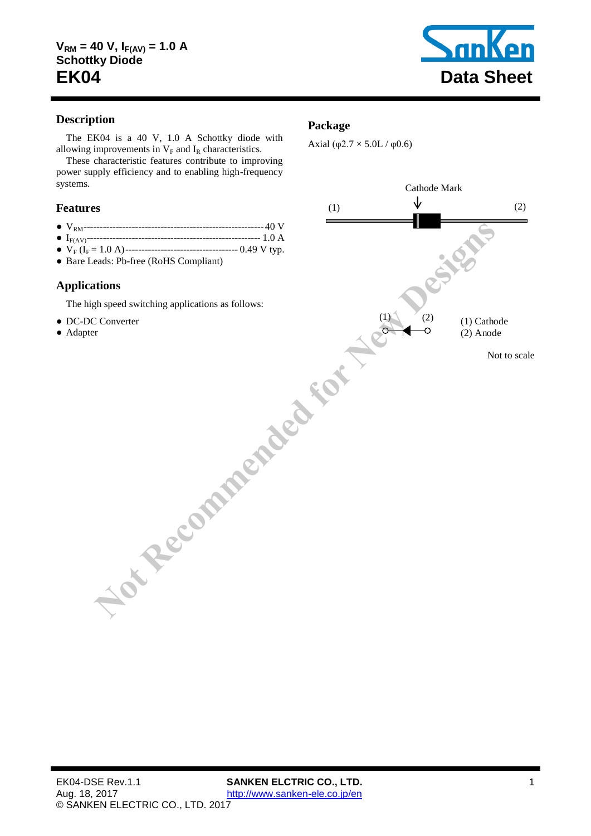

## **Description**

The EK04 is a [40](#page-1-0) V, [1.0](#page-1-1) A Schottky diode with allowing improvements in  $V_F$  and  $I_R$  characteristics.

These characteristic features contribute to improving power supply efficiency and to enabling high-frequency systems.

## **Features**

- VRM--------------------------------------------------------40 V
- IF(AV)------------------------------------------------------ 1.0 A
- V<sup>F</sup> (IF = 1.0 A)----------------------------------- 0.49 V typ.
- Bare Leads: Pb-free (RoHS Compliant)

## **Applications**

The high speed switching applications as follows:

- DC-DC Converter
- Adapter

### **Package**

Axial ( $\varphi$ 2.7 × 5.0L /  $\varphi$ 0.6)

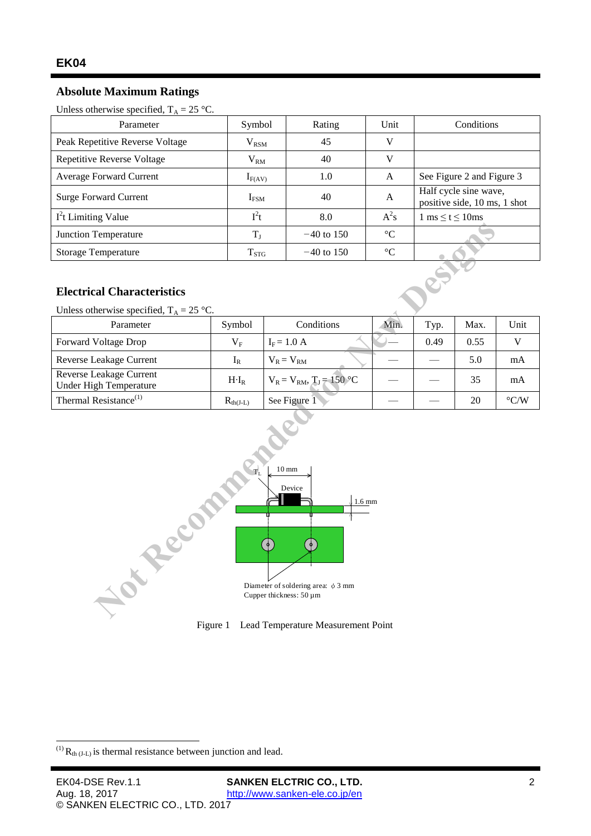# **Absolute Maximum Ratings**

Unless otherwise specified,  $T_A = 25 °C$ .

| Parameter                         | Symbol           | Rating       | Unit            | Conditions                                            |
|-----------------------------------|------------------|--------------|-----------------|-------------------------------------------------------|
| Peak Repetitive Reverse Voltage   | $\rm V_{RSM}$    | 45           | V               |                                                       |
| <b>Repetitive Reverse Voltage</b> | $\rm V_{RM}$     | 40           |                 |                                                       |
| <b>Average Forward Current</b>    | $I_{F(AV)}$      | 1.0          | A               | See Figure 2 and Figure 3                             |
| <b>Surge Forward Current</b>      | I <sub>FSM</sub> | 40           | A               | Half cycle sine wave,<br>positive side, 10 ms, 1 shot |
| $I^2$ t Limiting Value            | $I^2t$           | 8.0          | $A^2s$          | $1 \text{ ms} \leq t \leq 10 \text{ ms}$              |
| Junction Temperature              | $T_{\rm I}$      | $-40$ to 150 | $\rm ^{\circ}C$ |                                                       |
| <b>Storage Temperature</b>        | $T_{STG}$        | $-40$ to 150 | $\rm ^{\circ}C$ |                                                       |

## **Electrical Characteristics**

| Unless otherwise specified, $T_A = 25$ °C.               |               |                                 |      |      |      |                    |
|----------------------------------------------------------|---------------|---------------------------------|------|------|------|--------------------|
| Parameter                                                | Symbol        | Conditions                      | Min. | Typ. | Max. | Unit               |
| Forward Voltage Drop                                     | $V_{\rm F}$   | $I_F = 1.0 A$                   |      | 0.49 | 0.55 |                    |
| Reverse Leakage Current                                  | $I_{R}$       | $V_R = V_{RM}$                  |      |      | 5.0  | mA                 |
| Reverse Leakage Current<br><b>Under High Temperature</b> | $H \cdot I_R$ | $V_R = V_{RM}$ , $T_J = 150 °C$ |      |      | 35   | mA                 |
| Thermal Resistance <sup>(1)</sup>                        | $R_{th(J-L)}$ | See Figure 1                    |      |      | 20   | $\rm ^{\circ}$ C/W |

<span id="page-1-3"></span><span id="page-1-2"></span><span id="page-1-1"></span><span id="page-1-0"></span>

Figure 1 Lead Temperature Measurement Point

<span id="page-1-4"></span>-

 $^{(1)}$  R<sub>th (J-L)</sub> is thermal resistance between junction and lead.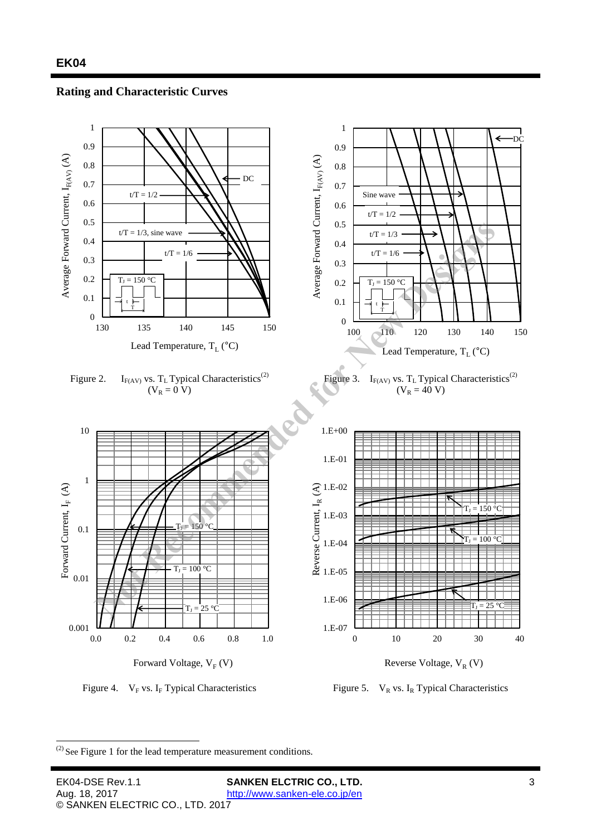### **Rating and Characteristic Curves**

<span id="page-2-1"></span><span id="page-2-0"></span>

Figure 4.  $V_F$  vs. I<sub>F</sub> Typical Characteristics Figure 5.  $V_R$  vs. I<sub>R</sub> Typical Characteristics

 $(2)$  See [Figure 1](#page-1-4) for the lead temperature measurement conditions.

-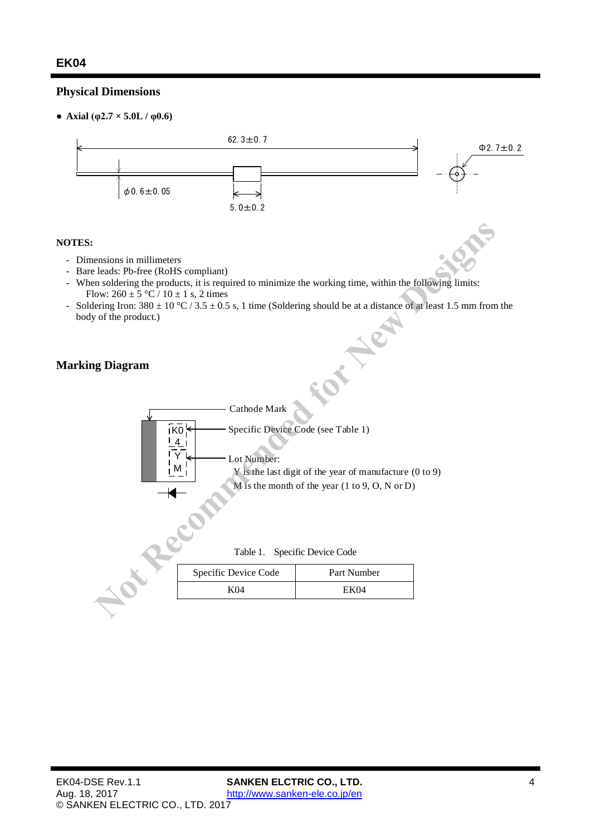## **Physical Dimensions**

 $\bullet$  **Axial** (φ2.7 × 5.0L / φ0.6)



#### **NOTES:**

- Dimensions in millimeters
- Bare leads: Pb-free (RoHS compliant)
- When soldering the products, it is required to minimize the working time, within the following limits: Flow:  $260 \pm 5$  °C /  $10 \pm 1$  s, 2 times
- Soldering Iron:  $380 \pm 10$  °C /  $3.5 \pm 0.5$  s, 1 time (Soldering should be at a distance of at least 1.5 mm from the body of the product.)

**Marking Diagram**